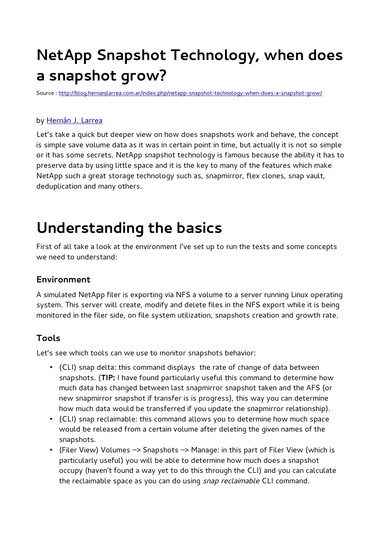# **NetApp Snapshot Technology, when does a snapshot grow?**

Source :<http://blog.hernanjlarrea.com.ar/index.php/netapp-snapshot-technology-when-does-a-snapshot-grow/>

#### by [Hernán J. Larrea](http://blog.hernanjlarrea.com.ar/index.php/author/hjlarrea/)

Let's take a quick but deeper view on how does snapshots work and behave, the concept is simple save volume data as it was in certain point in time, but actually it is not so simple or it has some secrets. NetApp snapshot technology is famous because the ability it has to preserve data by using little space and it is the key to many of the features which make NetApp such a great storage technology such as, snapmirror, flex clones, snap vault, deduplication and many others.

## **Understanding the basics**

First of all take a look at the environment I've set up to run the tests and some concepts we need to understand:

#### **Environment**

A simulated NetApp filer is exporting via NFS a volume to a server running Linux operating system. This server will create, modify and delete files in the NFS export while it is being monitored in the filer side, on file system utilization, snapshots creation and growth rate.

### **Tools**

Let's see which tools can we use to monitor snapshots behavior:

- (CLI) snap delta: this command displays the rate of change of data between snapshots. (**TIP:** I have found particularly useful this command to determine how much data has changed between last snapmirror snapshot taken and the AFS (or new snapmirror snapshot if transfer is is progress), this way you can determine how much data would be transferred if you update the snapmirror relationship).
- (CLI) snap reclaimable: this command allows you to determine how much space would be released from a certain volume after deleting the given names of the snapshots.
- (Filer View) Volumes –> Snapshots –> Manage: in this part of Filer View (which is particularly useful) you will be able to determine how much does a snapshot occupy (haven't found a way yet to do this through the CLI) and you can calculate the reclaimable space as you can do using *snap reclaimable* CLI command.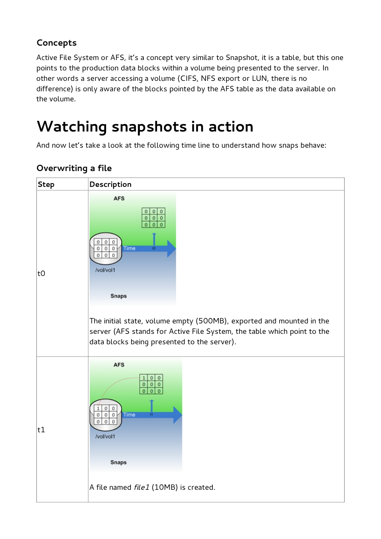## **Concepts**

Active File System or AFS, it's a concept very similar to Snapshot, it is a table, but this one points to the production data blocks within a volume being presented to the server. In other words a server accessing a volume (CIFS, NFS export or LUN, there is no difference) is only aware of the blocks pointed by the AFS table as the data available on the volume.

## **Watching snapshots in action**

And now let's take a look at the following time line to understand how snaps behave:



## **Overwriting a file**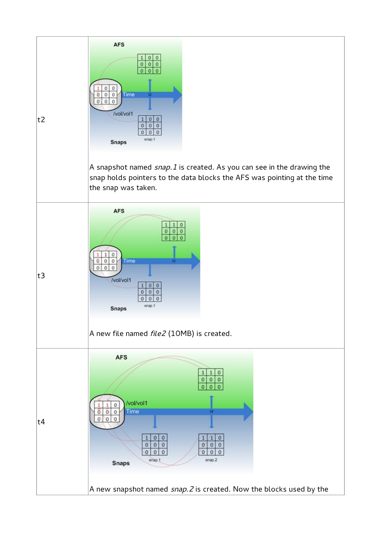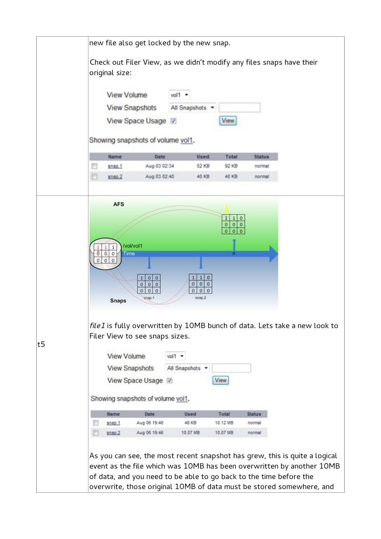|    | new file also get locked by the new snap.                                                                                                                                                                                               |  |  |
|----|-----------------------------------------------------------------------------------------------------------------------------------------------------------------------------------------------------------------------------------------|--|--|
|    | Check out Filer View, as we didn't modify any files snaps have their<br>original size:                                                                                                                                                  |  |  |
|    | View Volume<br>vol1 -                                                                                                                                                                                                                   |  |  |
|    | <b>View Snapshots</b><br>All Snapshots .                                                                                                                                                                                                |  |  |
|    | View Space Usage<br>View                                                                                                                                                                                                                |  |  |
|    |                                                                                                                                                                                                                                         |  |  |
|    | Showing snapshots of volume vol1.                                                                                                                                                                                                       |  |  |
|    | <b>Name</b><br>Date<br><b>Used</b><br>Total<br><b>Status</b>                                                                                                                                                                            |  |  |
|    | Aug 03 02:34<br>92 KB<br>snap.1<br>52 KB<br>normal                                                                                                                                                                                      |  |  |
|    | F<br>Aug 03 02:40<br>8080.2<br>40 KB<br>40 KB<br>normal                                                                                                                                                                                 |  |  |
|    | <b>AFS</b><br>1 0<br>00<br>0<br>00<br>Ō                                                                                                                                                                                                 |  |  |
|    | /vol/vol1<br>1<br>Ö.<br>ō<br>Time<br>$\circ$<br>o<br>۱o<br>O<br>$\mathbf{0}$<br>$\circ$<br>٥<br>00<br>$\overline{\mathbf{0}}$<br>$\mathbf 0$<br>$\circ$<br>٥<br>$\circ$<br>00<br>$\mathbf{O}$<br>00<br>snap.2<br>snap.1<br><b>Snaps</b> |  |  |
| t5 | file1 is fully overwritten by 10MB bunch of data. Lets take a new look to<br>Filer View to see snaps sizes.<br><b>View Volume</b><br>$vol1 -$<br><b>View Snapshots</b><br>All Snapshots v                                               |  |  |
|    | View Space Usage<br>View                                                                                                                                                                                                                |  |  |
|    | Showing snapshots of volume vol1.                                                                                                                                                                                                       |  |  |
|    | Total<br>Date<br>Used<br><b>Status</b><br>Name                                                                                                                                                                                          |  |  |
|    | Aug 06 19:46<br>48 KB<br>10.12 MB<br>snap.1<br>normal                                                                                                                                                                                   |  |  |
|    | Aug 06 19:46<br>10.07 MB<br>10.07 MB<br>snap.2<br>normal                                                                                                                                                                                |  |  |
|    | As you can see, the most recent snapshot has grew, this is quite a logical<br>event as the file which was 10MB has been overwritten by another 10MB<br>of data, and you need to be able to go back to the time before the               |  |  |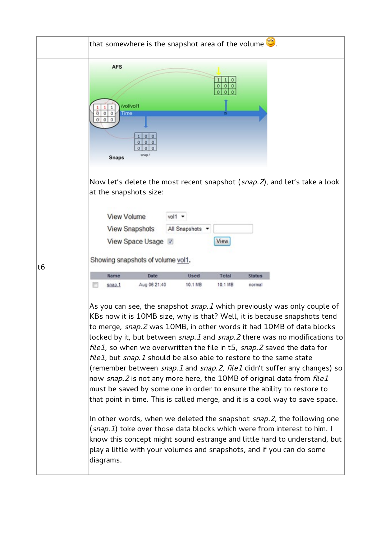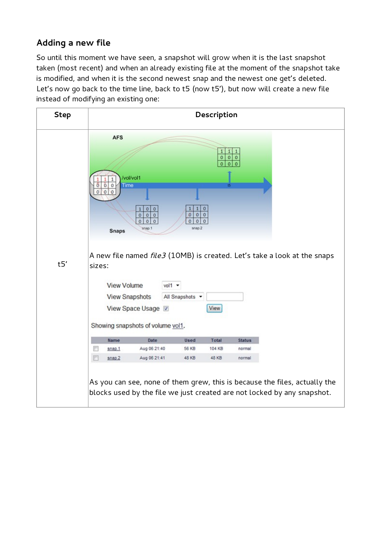### **Adding a new file**

So until this moment we have seen, a snapshot will grow when it is the last snapshot taken (most recent) and when an already existing file at the moment of the snapshot take is modified, and when it is the second newest snap and the newest one get's deleted. Let's now go back to the time line, back to t5 (now t5'), but now will create a new file instead of modifying an existing one:

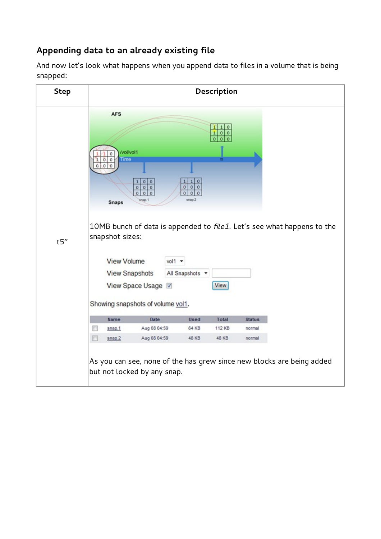### **Appending data to an already existing file**

And now let's look what happens when you append data to files in a volume that is being snapped:

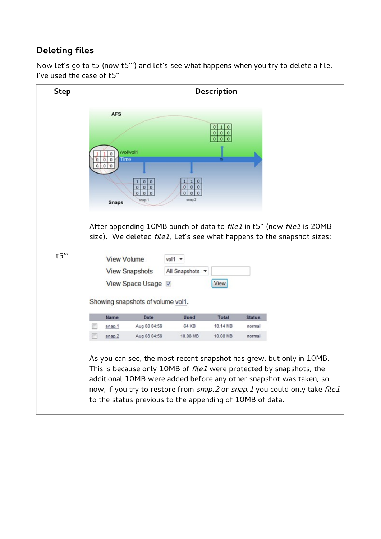### **Deleting files**

Now let's go to t5 (now t5''') and let's see what happens when you try to delete a file. I've used the case of t5''